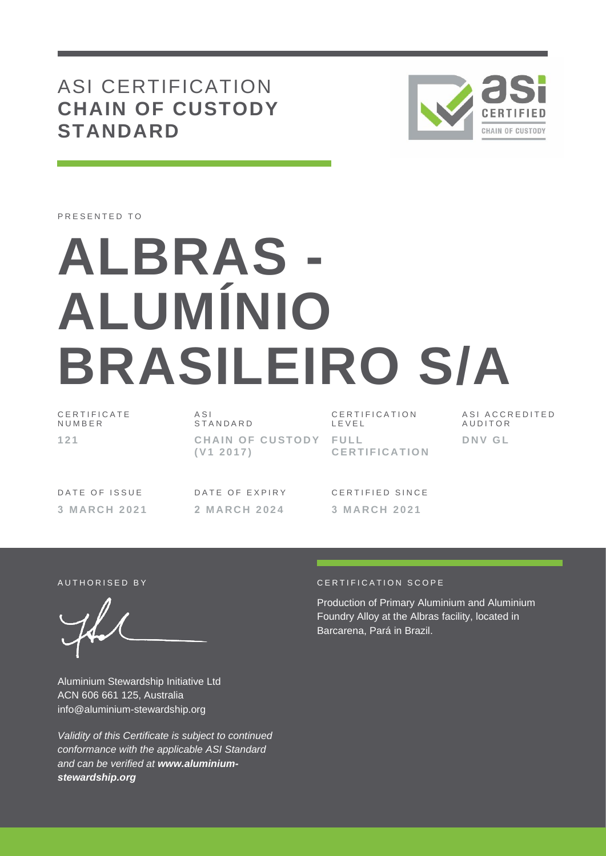## ASI CERTIFICATION **CHAIN OF CUSTODY STANDARD**



PRESENTED TO

# **ALBRAS - ALUMÍNIO BRASILEIRO S/A**

C E R T I F I C A T E N U M B E R **1 2 1**

 $A S I$ **STANDARD CHAIN OF CUSTODY FULL ( V1 2 0 1 7 )**

C E R T I F I C A T I O N L E V E L **C E R T I F I C A T I O N** A S I A C C R E D I T E D **AUDITOR D N V G L**

**3 M A R C H 2 0 2 1 2 M A R C H 2 0 2 4 3 M A R C H 2 0 2 1** 

DATE OF ISSUE DATE OF EXPIRY CERTIFIED SINCE

Aluminium Stewardship Initiative Ltd ACN 606 661 125, Australia info@aluminium-stewardship.org

*Validity of this Certificate is subject to continued conformance with the applicable ASI Standard and can be verified at www.aluminiumstewardship.org*

#### AUTHORISED BY CERTIFICATION SCOPE

Production of Primary Aluminium and Aluminium Foundry Alloy at the Albras facility, located in Barcarena, Pará in Brazil.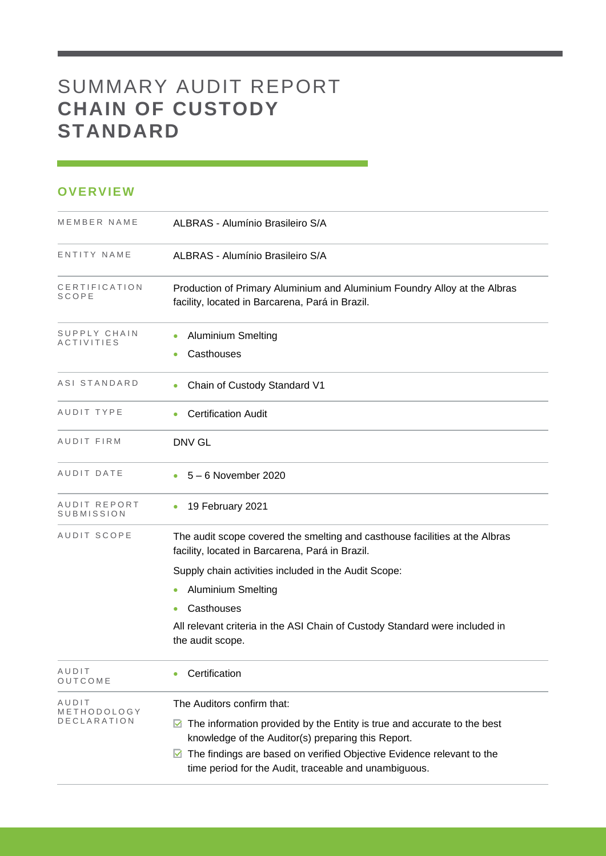## SUMMARY AUDIT REPORT **CHAIN OF CUSTODY STANDARD**

### **OVERVIEW**

| MEMBER NAME                | ALBRAS - Alumínio Brasileiro S/A                                                                                                             |
|----------------------------|----------------------------------------------------------------------------------------------------------------------------------------------|
| ENTITY NAME                | ALBRAS - Alumínio Brasileiro S/A                                                                                                             |
| CERTIFICATION<br>SCOPE     | Production of Primary Aluminium and Aluminium Foundry Alloy at the Albras<br>facility, located in Barcarena, Pará in Brazil.                 |
| SUPPLY CHAIN<br>ACTIVITIES | <b>Aluminium Smelting</b><br>$\bullet$<br>Casthouses                                                                                         |
| ASI STANDARD               | Chain of Custody Standard V1                                                                                                                 |
| AUDIT TYPE                 | <b>Certification Audit</b>                                                                                                                   |
| AUDIT FIRM                 | <b>DNV GL</b>                                                                                                                                |
| AUDIT DATE                 | 5 - 6 November 2020                                                                                                                          |
| AUDIT REPORT<br>SUBMISSION | 19 February 2021<br>$\bullet$                                                                                                                |
| AUDIT SCOPE                | The audit scope covered the smelting and casthouse facilities at the Albras<br>facility, located in Barcarena, Pará in Brazil.               |
|                            | Supply chain activities included in the Audit Scope:                                                                                         |
|                            | <b>Aluminium Smelting</b><br>$\bullet$                                                                                                       |
|                            | Casthouses<br>$\bullet$                                                                                                                      |
|                            | All relevant criteria in the ASI Chain of Custody Standard were included in<br>the audit scope.                                              |
| AUDIT<br>OUTCOME           | Certification                                                                                                                                |
| AUDIT                      | The Auditors confirm that:                                                                                                                   |
| METHODOLOGY<br>DECLARATION | $\blacksquare$ The information provided by the Entity is true and accurate to the best<br>knowledge of the Auditor(s) preparing this Report. |
|                            | The findings are based on verified Objective Evidence relevant to the<br>M<br>time period for the Audit, traceable and unambiguous.          |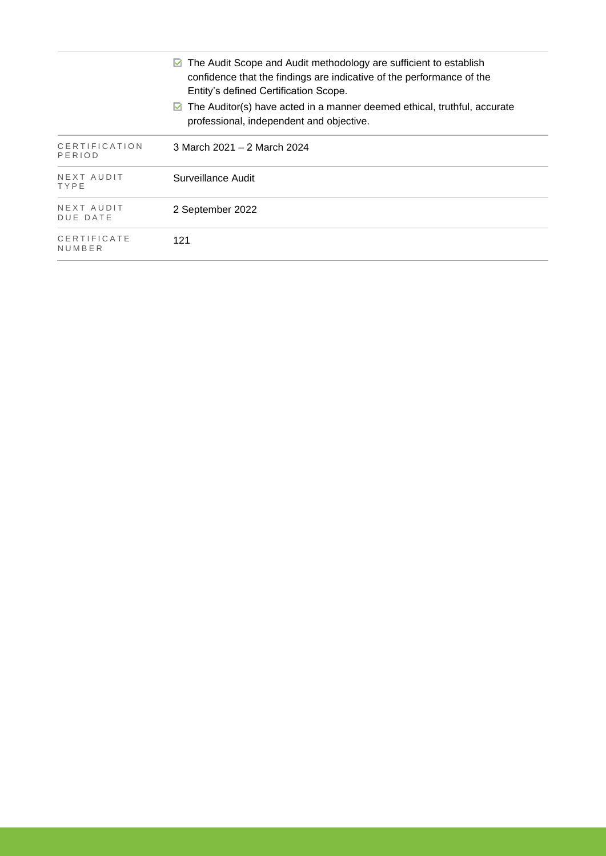|                               | $\triangleright$ The Audit Scope and Audit methodology are sufficient to establish<br>confidence that the findings are indicative of the performance of the<br>Entity's defined Certification Scope. |
|-------------------------------|------------------------------------------------------------------------------------------------------------------------------------------------------------------------------------------------------|
|                               | $\triangleright$ The Auditor(s) have acted in a manner deemed ethical, truthful, accurate<br>professional, independent and objective.                                                                |
| CERTIFICATION<br>PERIOD       | 3 March 2021 – 2 March 2024                                                                                                                                                                          |
| NEXT AUDIT<br>TYPE            | Surveillance Audit                                                                                                                                                                                   |
| NEXT AUDIT<br><b>DUE DATE</b> | 2 September 2022                                                                                                                                                                                     |
| CERTIFICATE<br>NUMBER         | 121                                                                                                                                                                                                  |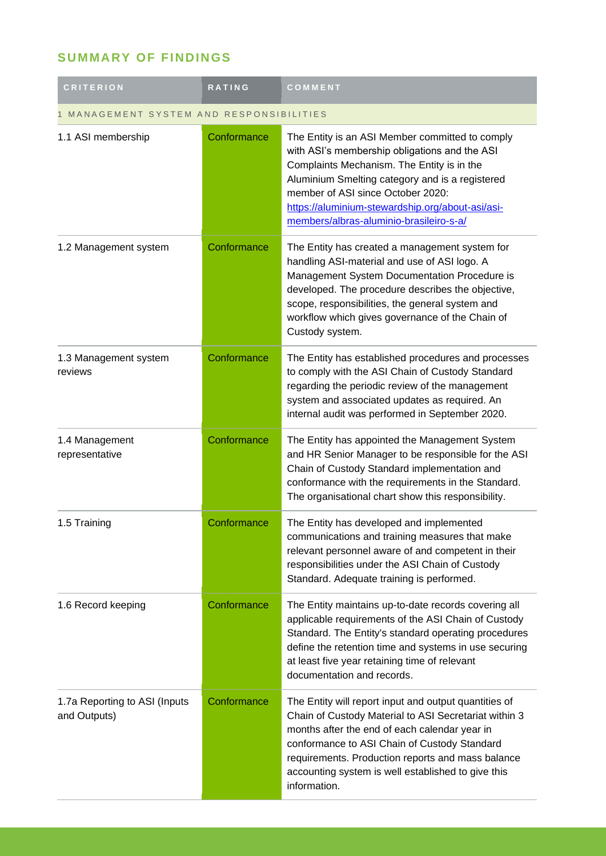## **SUMMARY OF FINDINGS**

| <b>CRITERION</b>                              | <b>RATING</b>                          | COMMENT                                                                                                                                                                                                                                                                                                                                    |  |  |
|-----------------------------------------------|----------------------------------------|--------------------------------------------------------------------------------------------------------------------------------------------------------------------------------------------------------------------------------------------------------------------------------------------------------------------------------------------|--|--|
|                                               | MANAGEMENT SYSTEM AND RESPONSIBILITIES |                                                                                                                                                                                                                                                                                                                                            |  |  |
| 1.1 ASI membership                            | Conformance                            | The Entity is an ASI Member committed to comply<br>with ASI's membership obligations and the ASI<br>Complaints Mechanism. The Entity is in the<br>Aluminium Smelting category and is a registered<br>member of ASI since October 2020:<br>https://aluminium-stewardship.org/about-asi/asi-<br>members/albras-aluminio-brasileiro-s-a/      |  |  |
| 1.2 Management system                         | Conformance                            | The Entity has created a management system for<br>handling ASI-material and use of ASI logo. A<br>Management System Documentation Procedure is<br>developed. The procedure describes the objective,<br>scope, responsibilities, the general system and<br>workflow which gives governance of the Chain of<br>Custody system.               |  |  |
| 1.3 Management system<br>reviews              | Conformance                            | The Entity has established procedures and processes<br>to comply with the ASI Chain of Custody Standard<br>regarding the periodic review of the management<br>system and associated updates as required. An<br>internal audit was performed in September 2020.                                                                             |  |  |
| 1.4 Management<br>representative              | Conformance                            | The Entity has appointed the Management System<br>and HR Senior Manager to be responsible for the ASI<br>Chain of Custody Standard implementation and<br>conformance with the requirements in the Standard.<br>The organisational chart show this responsibility.                                                                          |  |  |
| 1.5 Training                                  | Conformance                            | The Entity has developed and implemented<br>communications and training measures that make<br>relevant personnel aware of and competent in their<br>responsibilities under the ASI Chain of Custody<br>Standard. Adequate training is performed.                                                                                           |  |  |
| 1.6 Record keeping                            | Conformance                            | The Entity maintains up-to-date records covering all<br>applicable requirements of the ASI Chain of Custody<br>Standard. The Entity's standard operating procedures<br>define the retention time and systems in use securing<br>at least five year retaining time of relevant<br>documentation and records.                                |  |  |
| 1.7a Reporting to ASI (Inputs<br>and Outputs) | Conformance                            | The Entity will report input and output quantities of<br>Chain of Custody Material to ASI Secretariat within 3<br>months after the end of each calendar year in<br>conformance to ASI Chain of Custody Standard<br>requirements. Production reports and mass balance<br>accounting system is well established to give this<br>information. |  |  |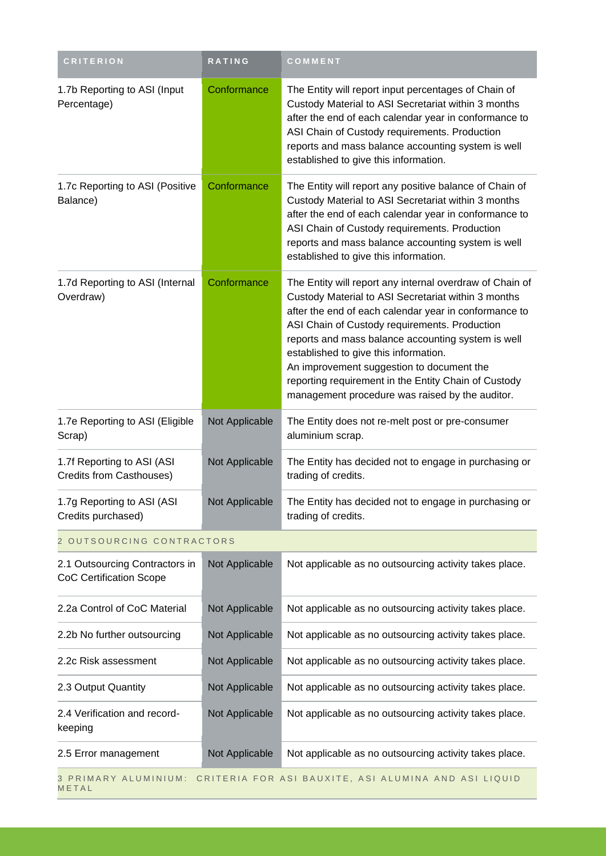| <b>CRITERION</b>                                                 | RATING         | COMMENT                                                                                                                                                                                                                                                                                                                                                                                                                                                                          |
|------------------------------------------------------------------|----------------|----------------------------------------------------------------------------------------------------------------------------------------------------------------------------------------------------------------------------------------------------------------------------------------------------------------------------------------------------------------------------------------------------------------------------------------------------------------------------------|
| 1.7b Reporting to ASI (Input<br>Percentage)                      | Conformance    | The Entity will report input percentages of Chain of<br>Custody Material to ASI Secretariat within 3 months<br>after the end of each calendar year in conformance to<br>ASI Chain of Custody requirements. Production<br>reports and mass balance accounting system is well<br>established to give this information.                                                                                                                                                             |
| 1.7c Reporting to ASI (Positive<br>Balance)                      | Conformance    | The Entity will report any positive balance of Chain of<br>Custody Material to ASI Secretariat within 3 months<br>after the end of each calendar year in conformance to<br>ASI Chain of Custody requirements. Production<br>reports and mass balance accounting system is well<br>established to give this information.                                                                                                                                                          |
| 1.7d Reporting to ASI (Internal<br>Overdraw)                     | Conformance    | The Entity will report any internal overdraw of Chain of<br>Custody Material to ASI Secretariat within 3 months<br>after the end of each calendar year in conformance to<br>ASI Chain of Custody requirements. Production<br>reports and mass balance accounting system is well<br>established to give this information.<br>An improvement suggestion to document the<br>reporting requirement in the Entity Chain of Custody<br>management procedure was raised by the auditor. |
| 1.7e Reporting to ASI (Eligible<br>Scrap)                        | Not Applicable | The Entity does not re-melt post or pre-consumer<br>aluminium scrap.                                                                                                                                                                                                                                                                                                                                                                                                             |
| 1.7f Reporting to ASI (ASI<br>Credits from Casthouses)           | Not Applicable | The Entity has decided not to engage in purchasing or<br>trading of credits.                                                                                                                                                                                                                                                                                                                                                                                                     |
| 1.7g Reporting to ASI (ASI<br>Credits purchased)                 | Not Applicable | The Entity has decided not to engage in purchasing or<br>trading of credits.                                                                                                                                                                                                                                                                                                                                                                                                     |
| 2 OUTSOURCING CONTRACTORS                                        |                |                                                                                                                                                                                                                                                                                                                                                                                                                                                                                  |
| 2.1 Outsourcing Contractors in<br><b>CoC Certification Scope</b> | Not Applicable | Not applicable as no outsourcing activity takes place.                                                                                                                                                                                                                                                                                                                                                                                                                           |
| 2.2a Control of CoC Material                                     | Not Applicable | Not applicable as no outsourcing activity takes place.                                                                                                                                                                                                                                                                                                                                                                                                                           |
| 2.2b No further outsourcing                                      | Not Applicable | Not applicable as no outsourcing activity takes place.                                                                                                                                                                                                                                                                                                                                                                                                                           |
| 2.2c Risk assessment                                             | Not Applicable | Not applicable as no outsourcing activity takes place.                                                                                                                                                                                                                                                                                                                                                                                                                           |
| 2.3 Output Quantity                                              | Not Applicable | Not applicable as no outsourcing activity takes place.                                                                                                                                                                                                                                                                                                                                                                                                                           |
| 2.4 Verification and record-<br>keeping                          | Not Applicable | Not applicable as no outsourcing activity takes place.                                                                                                                                                                                                                                                                                                                                                                                                                           |
| 2.5 Error management                                             | Not Applicable | Not applicable as no outsourcing activity takes place.                                                                                                                                                                                                                                                                                                                                                                                                                           |
| 3 PRIMARY ALUMINIUM:<br>METAL                                    |                | CRITERIA FOR ASI BAUXITE, ASI ALUMINA AND ASI LIQUID                                                                                                                                                                                                                                                                                                                                                                                                                             |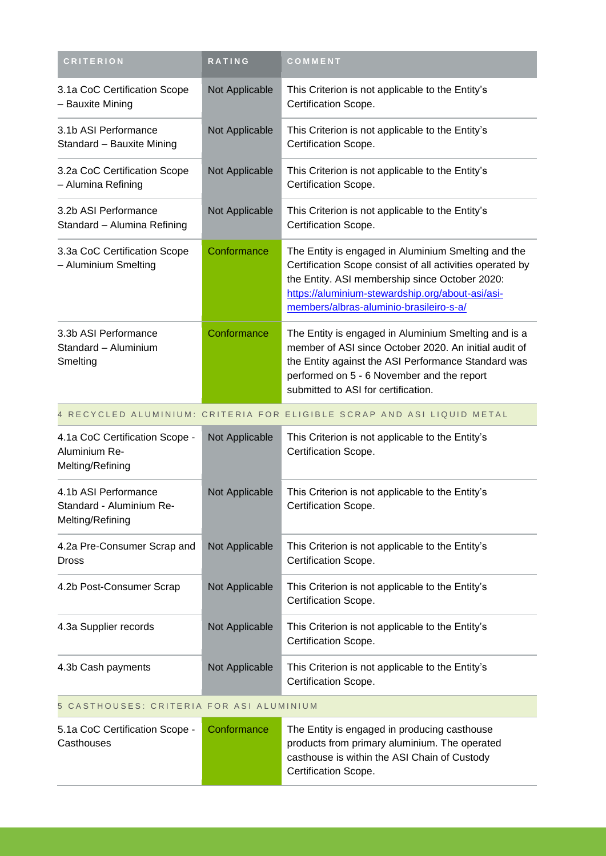| <b>CRITERION</b>                                                     | <b>RATING</b>  | COMMENT                                                                                                                                                                                                                                                           |
|----------------------------------------------------------------------|----------------|-------------------------------------------------------------------------------------------------------------------------------------------------------------------------------------------------------------------------------------------------------------------|
| 3.1a CoC Certification Scope<br>- Bauxite Mining                     | Not Applicable | This Criterion is not applicable to the Entity's<br>Certification Scope.                                                                                                                                                                                          |
| 3.1b ASI Performance<br>Standard - Bauxite Mining                    | Not Applicable | This Criterion is not applicable to the Entity's<br>Certification Scope.                                                                                                                                                                                          |
| 3.2a CoC Certification Scope<br>- Alumina Refining                   | Not Applicable | This Criterion is not applicable to the Entity's<br>Certification Scope.                                                                                                                                                                                          |
| 3.2b ASI Performance<br>Standard - Alumina Refining                  | Not Applicable | This Criterion is not applicable to the Entity's<br>Certification Scope.                                                                                                                                                                                          |
| 3.3a CoC Certification Scope<br>- Aluminium Smelting                 | Conformance    | The Entity is engaged in Aluminium Smelting and the<br>Certification Scope consist of all activities operated by<br>the Entity. ASI membership since October 2020:<br>https://aluminium-stewardship.org/about-asi/asi-<br>members/albras-aluminio-brasileiro-s-a/ |
| 3.3b ASI Performance<br>Standard - Aluminium<br>Smelting             | Conformance    | The Entity is engaged in Aluminium Smelting and is a<br>member of ASI since October 2020. An initial audit of<br>the Entity against the ASI Performance Standard was<br>performed on 5 - 6 November and the report<br>submitted to ASI for certification.         |
|                                                                      |                | 4 RECYCLED ALUMINIUM: CRITERIA FOR ELIGIBLE SCRAP AND ASI LIQUID METAL                                                                                                                                                                                            |
| 4.1a CoC Certification Scope -<br>Aluminium Re-<br>Melting/Refining  | Not Applicable | This Criterion is not applicable to the Entity's<br>Certification Scope.                                                                                                                                                                                          |
| 4.1b ASI Performance<br>Standard - Aluminium Re-<br>Melting/Refining | Not Applicable | This Criterion is not applicable to the Entity's<br>Certification Scope.                                                                                                                                                                                          |
| 4.2a Pre-Consumer Scrap and<br><b>Dross</b>                          | Not Applicable | This Criterion is not applicable to the Entity's<br>Certification Scope.                                                                                                                                                                                          |
| 4.2b Post-Consumer Scrap                                             | Not Applicable | This Criterion is not applicable to the Entity's<br>Certification Scope.                                                                                                                                                                                          |
| 4.3a Supplier records                                                | Not Applicable | This Criterion is not applicable to the Entity's<br>Certification Scope.                                                                                                                                                                                          |
| 4.3b Cash payments                                                   | Not Applicable | This Criterion is not applicable to the Entity's<br>Certification Scope.                                                                                                                                                                                          |
| 5 CASTHOUSES: CRITERIA FOR ASI ALUMINIUM                             |                |                                                                                                                                                                                                                                                                   |
| 5.1a CoC Certification Scope -<br>Casthouses                         | Conformance    | The Entity is engaged in producing casthouse<br>products from primary aluminium. The operated<br>casthouse is within the ASI Chain of Custody<br>Certification Scope.                                                                                             |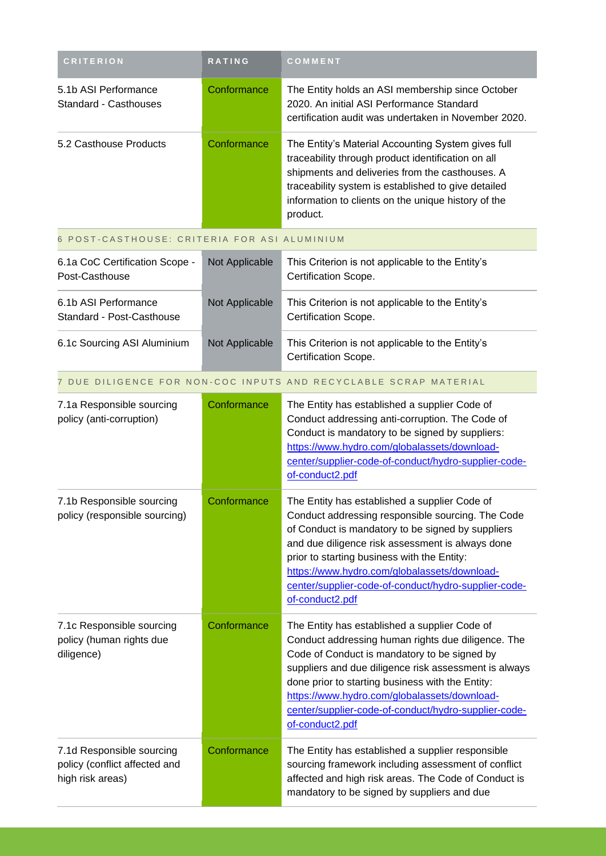| <b>CRITERION</b>                                                               | RATING         | COMMENT                                                                                                                                                                                                                                                                                                                                                                                     |
|--------------------------------------------------------------------------------|----------------|---------------------------------------------------------------------------------------------------------------------------------------------------------------------------------------------------------------------------------------------------------------------------------------------------------------------------------------------------------------------------------------------|
| 5.1b ASI Performance<br><b>Standard - Casthouses</b>                           | Conformance    | The Entity holds an ASI membership since October<br>2020. An initial ASI Performance Standard<br>certification audit was undertaken in November 2020.                                                                                                                                                                                                                                       |
| 5.2 Casthouse Products                                                         | Conformance    | The Entity's Material Accounting System gives full<br>traceability through product identification on all<br>shipments and deliveries from the casthouses. A<br>traceability system is established to give detailed<br>information to clients on the unique history of the<br>product.                                                                                                       |
| 6 POST-CASTHOUSE: CRITERIA FOR ASI ALUMINIUM                                   |                |                                                                                                                                                                                                                                                                                                                                                                                             |
| 6.1a CoC Certification Scope -<br>Post-Casthouse                               | Not Applicable | This Criterion is not applicable to the Entity's<br>Certification Scope.                                                                                                                                                                                                                                                                                                                    |
| 6.1b ASI Performance<br>Standard - Post-Casthouse                              | Not Applicable | This Criterion is not applicable to the Entity's<br>Certification Scope.                                                                                                                                                                                                                                                                                                                    |
| 6.1c Sourcing ASI Aluminium                                                    | Not Applicable | This Criterion is not applicable to the Entity's<br>Certification Scope.                                                                                                                                                                                                                                                                                                                    |
|                                                                                |                | 7 DUE DILIGENCE FOR NON-COC INPUTS AND RECYCLABLE SCRAP MATERIAL                                                                                                                                                                                                                                                                                                                            |
| 7.1a Responsible sourcing<br>policy (anti-corruption)                          | Conformance    | The Entity has established a supplier Code of<br>Conduct addressing anti-corruption. The Code of<br>Conduct is mandatory to be signed by suppliers:<br>https://www.hydro.com/globalassets/download-<br>center/supplier-code-of-conduct/hydro-supplier-code-<br>of-conduct2.pdf                                                                                                              |
| 7.1b Responsible sourcing<br>policy (responsible sourcing)                     | Conformance    | The Entity has established a supplier Code of<br>Conduct addressing responsible sourcing. The Code<br>of Conduct is mandatory to be signed by suppliers<br>and due diligence risk assessment is always done<br>prior to starting business with the Entity:<br>https://www.hydro.com/globalassets/download-<br>center/supplier-code-of-conduct/hydro-supplier-code-<br>of-conduct2.pdf       |
| 7.1c Responsible sourcing<br>policy (human rights due<br>diligence)            | Conformance    | The Entity has established a supplier Code of<br>Conduct addressing human rights due diligence. The<br>Code of Conduct is mandatory to be signed by<br>suppliers and due diligence risk assessment is always<br>done prior to starting business with the Entity:<br>https://www.hydro.com/globalassets/download-<br>center/supplier-code-of-conduct/hydro-supplier-code-<br>of-conduct2.pdf |
| 7.1d Responsible sourcing<br>policy (conflict affected and<br>high risk areas) | Conformance    | The Entity has established a supplier responsible<br>sourcing framework including assessment of conflict<br>affected and high risk areas. The Code of Conduct is<br>mandatory to be signed by suppliers and due                                                                                                                                                                             |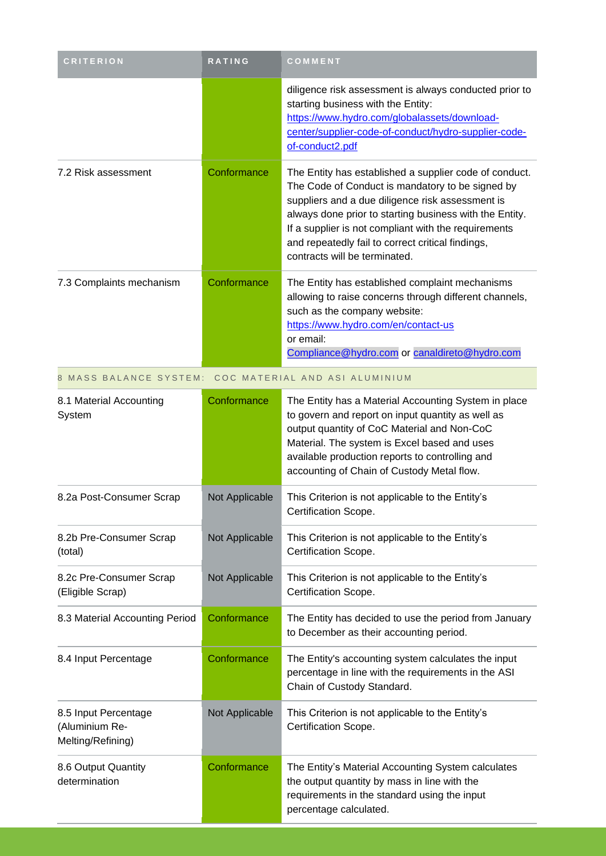| <b>CRITERION</b>                                            | <b>RATING</b>  | COMMENT                                                                                                                                                                                                                                                                                                                                                                 |
|-------------------------------------------------------------|----------------|-------------------------------------------------------------------------------------------------------------------------------------------------------------------------------------------------------------------------------------------------------------------------------------------------------------------------------------------------------------------------|
|                                                             |                | diligence risk assessment is always conducted prior to<br>starting business with the Entity:<br>https://www.hydro.com/globalassets/download-<br>center/supplier-code-of-conduct/hydro-supplier-code-<br>of-conduct2.pdf                                                                                                                                                 |
| 7.2 Risk assessment                                         | Conformance    | The Entity has established a supplier code of conduct.<br>The Code of Conduct is mandatory to be signed by<br>suppliers and a due diligence risk assessment is<br>always done prior to starting business with the Entity.<br>If a supplier is not compliant with the requirements<br>and repeatedly fail to correct critical findings,<br>contracts will be terminated. |
| 7.3 Complaints mechanism                                    | Conformance    | The Entity has established complaint mechanisms<br>allowing to raise concerns through different channels,<br>such as the company website:<br>https://www.hydro.com/en/contact-us<br>or email:<br>Compliance@hydro.com or canaldireto@hydro.com                                                                                                                          |
| 8 MASS BALANCE SYSTEM:                                      |                | COC MATERIAL AND ASI ALUMINIUM                                                                                                                                                                                                                                                                                                                                          |
| 8.1 Material Accounting<br>System                           | Conformance    | The Entity has a Material Accounting System in place<br>to govern and report on input quantity as well as<br>output quantity of CoC Material and Non-CoC<br>Material. The system is Excel based and uses<br>available production reports to controlling and<br>accounting of Chain of Custody Metal flow.                                                               |
| 8.2a Post-Consumer Scrap                                    | Not Applicable | This Criterion is not applicable to the Entity's<br>Certification Scope.                                                                                                                                                                                                                                                                                                |
| 8.2b Pre-Consumer Scrap<br>(total)                          | Not Applicable | This Criterion is not applicable to the Entity's<br>Certification Scope.                                                                                                                                                                                                                                                                                                |
| 8.2c Pre-Consumer Scrap<br>(Eligible Scrap)                 | Not Applicable | This Criterion is not applicable to the Entity's<br>Certification Scope.                                                                                                                                                                                                                                                                                                |
| 8.3 Material Accounting Period                              | Conformance    | The Entity has decided to use the period from January<br>to December as their accounting period.                                                                                                                                                                                                                                                                        |
| 8.4 Input Percentage                                        | Conformance    | The Entity's accounting system calculates the input<br>percentage in line with the requirements in the ASI<br>Chain of Custody Standard.                                                                                                                                                                                                                                |
| 8.5 Input Percentage<br>(Aluminium Re-<br>Melting/Refining) | Not Applicable | This Criterion is not applicable to the Entity's<br>Certification Scope.                                                                                                                                                                                                                                                                                                |
| 8.6 Output Quantity<br>determination                        | Conformance    | The Entity's Material Accounting System calculates<br>the output quantity by mass in line with the<br>requirements in the standard using the input<br>percentage calculated.                                                                                                                                                                                            |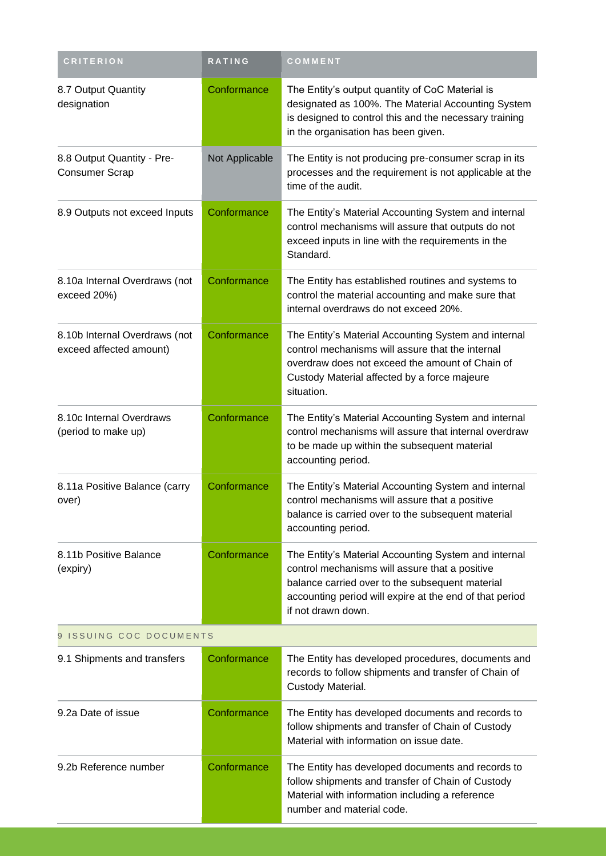| <b>CRITERION</b>                                         | <b>RATING</b>  | COMMENT                                                                                                                                                                                                                                    |
|----------------------------------------------------------|----------------|--------------------------------------------------------------------------------------------------------------------------------------------------------------------------------------------------------------------------------------------|
| 8.7 Output Quantity<br>designation                       | Conformance    | The Entity's output quantity of CoC Material is<br>designated as 100%. The Material Accounting System<br>is designed to control this and the necessary training<br>in the organisation has been given.                                     |
| 8.8 Output Quantity - Pre-<br><b>Consumer Scrap</b>      | Not Applicable | The Entity is not producing pre-consumer scrap in its<br>processes and the requirement is not applicable at the<br>time of the audit.                                                                                                      |
| 8.9 Outputs not exceed Inputs                            | Conformance    | The Entity's Material Accounting System and internal<br>control mechanisms will assure that outputs do not<br>exceed inputs in line with the requirements in the<br>Standard.                                                              |
| 8.10a Internal Overdraws (not<br>exceed 20%)             | Conformance    | The Entity has established routines and systems to<br>control the material accounting and make sure that<br>internal overdraws do not exceed 20%.                                                                                          |
| 8.10b Internal Overdraws (not<br>exceed affected amount) | Conformance    | The Entity's Material Accounting System and internal<br>control mechanisms will assure that the internal<br>overdraw does not exceed the amount of Chain of<br>Custody Material affected by a force majeure<br>situation.                  |
| 8.10c Internal Overdraws<br>(period to make up)          | Conformance    | The Entity's Material Accounting System and internal<br>control mechanisms will assure that internal overdraw<br>to be made up within the subsequent material<br>accounting period.                                                        |
| 8.11a Positive Balance (carry<br>over)                   | Conformance    | The Entity's Material Accounting System and internal<br>control mechanisms will assure that a positive<br>balance is carried over to the subsequent material<br>accounting period.                                                         |
| 8.11b Positive Balance<br>(expiry)                       | Conformance    | The Entity's Material Accounting System and internal<br>control mechanisms will assure that a positive<br>balance carried over to the subsequent material<br>accounting period will expire at the end of that period<br>if not drawn down. |
| 9 ISSUING COC DOCUMENTS                                  |                |                                                                                                                                                                                                                                            |
| 9.1 Shipments and transfers                              | Conformance    | The Entity has developed procedures, documents and<br>records to follow shipments and transfer of Chain of<br>Custody Material.                                                                                                            |
| 9.2a Date of issue                                       | Conformance    | The Entity has developed documents and records to<br>follow shipments and transfer of Chain of Custody<br>Material with information on issue date.                                                                                         |
| 9.2b Reference number                                    | Conformance    | The Entity has developed documents and records to<br>follow shipments and transfer of Chain of Custody<br>Material with information including a reference<br>number and material code.                                                     |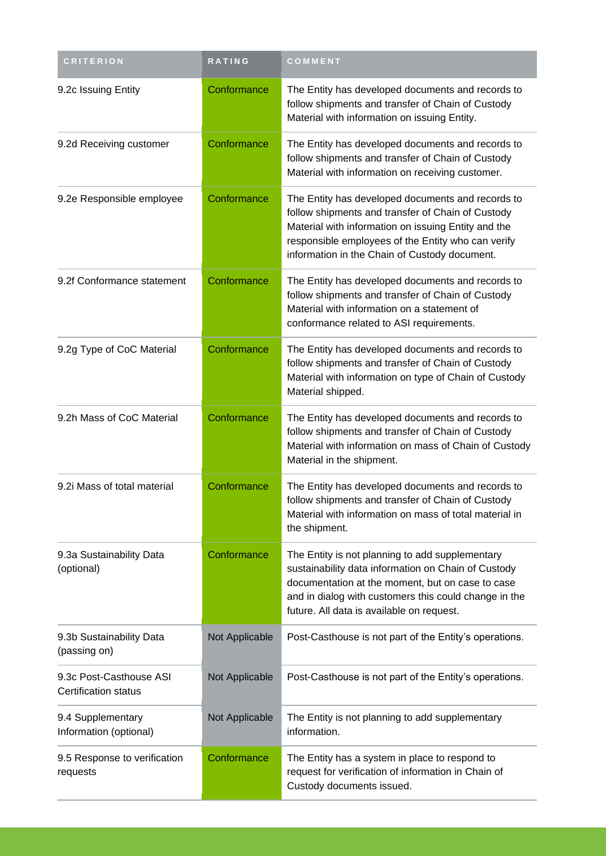| <b>CRITERION</b>                                       | RATING         | COMMENT                                                                                                                                                                                                                                                              |
|--------------------------------------------------------|----------------|----------------------------------------------------------------------------------------------------------------------------------------------------------------------------------------------------------------------------------------------------------------------|
| 9.2c Issuing Entity                                    | Conformance    | The Entity has developed documents and records to<br>follow shipments and transfer of Chain of Custody<br>Material with information on issuing Entity.                                                                                                               |
| 9.2d Receiving customer                                | Conformance    | The Entity has developed documents and records to<br>follow shipments and transfer of Chain of Custody<br>Material with information on receiving customer.                                                                                                           |
| 9.2e Responsible employee                              | Conformance    | The Entity has developed documents and records to<br>follow shipments and transfer of Chain of Custody<br>Material with information on issuing Entity and the<br>responsible employees of the Entity who can verify<br>information in the Chain of Custody document. |
| 9.2f Conformance statement                             | Conformance    | The Entity has developed documents and records to<br>follow shipments and transfer of Chain of Custody<br>Material with information on a statement of<br>conformance related to ASI requirements.                                                                    |
| 9.2g Type of CoC Material                              | Conformance    | The Entity has developed documents and records to<br>follow shipments and transfer of Chain of Custody<br>Material with information on type of Chain of Custody<br>Material shipped.                                                                                 |
| 9.2h Mass of CoC Material                              | Conformance    | The Entity has developed documents and records to<br>follow shipments and transfer of Chain of Custody<br>Material with information on mass of Chain of Custody<br>Material in the shipment.                                                                         |
| 9.2i Mass of total material                            | Conformance    | The Entity has developed documents and records to<br>follow shipments and transfer of Chain of Custody<br>Material with information on mass of total material in<br>the shipment.                                                                                    |
| 9.3a Sustainability Data<br>(optional)                 | Conformance    | The Entity is not planning to add supplementary<br>sustainability data information on Chain of Custody<br>documentation at the moment, but on case to case<br>and in dialog with customers this could change in the<br>future. All data is available on request.     |
| 9.3b Sustainability Data<br>(passing on)               | Not Applicable | Post-Casthouse is not part of the Entity's operations.                                                                                                                                                                                                               |
| 9.3c Post-Casthouse ASI<br><b>Certification status</b> | Not Applicable | Post-Casthouse is not part of the Entity's operations.                                                                                                                                                                                                               |
| 9.4 Supplementary<br>Information (optional)            | Not Applicable | The Entity is not planning to add supplementary<br>information.                                                                                                                                                                                                      |
| 9.5 Response to verification<br>requests               | Conformance    | The Entity has a system in place to respond to<br>request for verification of information in Chain of<br>Custody documents issued.                                                                                                                                   |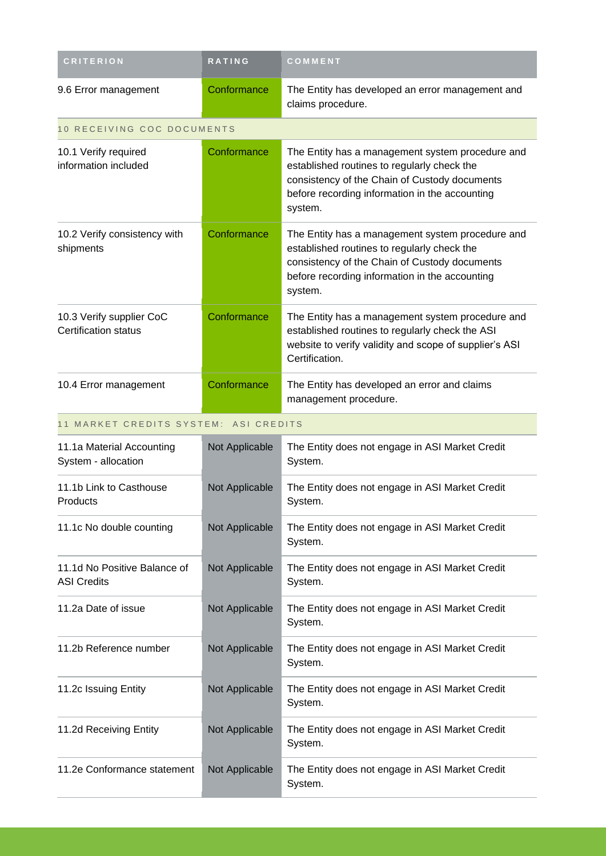| <b>CRITERION</b>                                        | <b>RATING</b>  | COMMENT                                                                                                                                                                                                       |
|---------------------------------------------------------|----------------|---------------------------------------------------------------------------------------------------------------------------------------------------------------------------------------------------------------|
| 9.6 Error management                                    | Conformance    | The Entity has developed an error management and<br>claims procedure.                                                                                                                                         |
| 10 RECEIVING COC DOCUMENTS                              |                |                                                                                                                                                                                                               |
| 10.1 Verify required<br>information included            | Conformance    | The Entity has a management system procedure and<br>established routines to regularly check the<br>consistency of the Chain of Custody documents<br>before recording information in the accounting<br>system. |
| 10.2 Verify consistency with<br>shipments               | Conformance    | The Entity has a management system procedure and<br>established routines to regularly check the<br>consistency of the Chain of Custody documents<br>before recording information in the accounting<br>system. |
| 10.3 Verify supplier CoC<br><b>Certification status</b> | Conformance    | The Entity has a management system procedure and<br>established routines to regularly check the ASI<br>website to verify validity and scope of supplier's ASI<br>Certification.                               |
| 10.4 Error management                                   | Conformance    | The Entity has developed an error and claims<br>management procedure.                                                                                                                                         |
| 11 MARKET CREDITS SYSTEM: ASI CREDITS                   |                |                                                                                                                                                                                                               |
| 11.1a Material Accounting<br>System - allocation        | Not Applicable | The Entity does not engage in ASI Market Credit<br>System.                                                                                                                                                    |
| 11.1b Link to Casthouse<br>Products                     | Not Applicable | The Entity does not engage in ASI Market Credit<br>System.                                                                                                                                                    |
| 11.1c No double counting                                | Not Applicable | The Entity does not engage in ASI Market Credit<br>System.                                                                                                                                                    |
| 11.1d No Positive Balance of<br><b>ASI Credits</b>      | Not Applicable | The Entity does not engage in ASI Market Credit<br>System.                                                                                                                                                    |
| 11.2a Date of issue                                     | Not Applicable | The Entity does not engage in ASI Market Credit<br>System.                                                                                                                                                    |
| 11.2b Reference number                                  | Not Applicable | The Entity does not engage in ASI Market Credit<br>System.                                                                                                                                                    |
| 11.2c Issuing Entity                                    | Not Applicable | The Entity does not engage in ASI Market Credit<br>System.                                                                                                                                                    |
| 11.2d Receiving Entity                                  | Not Applicable | The Entity does not engage in ASI Market Credit<br>System.                                                                                                                                                    |
| 11.2e Conformance statement                             | Not Applicable | The Entity does not engage in ASI Market Credit<br>System.                                                                                                                                                    |